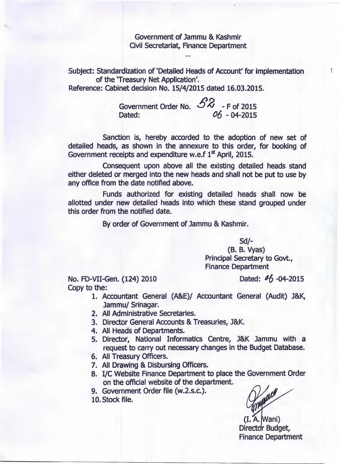Government of Jammu & Kashmir Civil Secretariat, Finance Department

Subject: Standardization of 'Detailed Heads of Account' for implementation of the 'Treasury Net Application'.

Reference: cabinet decision No. 15/4/2015 dated 16.03.2015.

Government Order No.  $58 - 5$  of 2015<br>Dated:  $06 - 04 - 2015$ 06 - 04-2015

Sanction is, hereby accorded to the adoption of new set of detailed heads, as shown in the annexure to this order, for booking of Government receipts and expenditure w.e.f  $1<sup>st</sup>$  April, 2015.

Consequent upon above all the existing detailed heads stand either deleted or merged into the new heads and shall not be put to use by any office from the date notified above.

Funds authorized for existing detailed heads shall now be allotted under new detailed heads into which these stand grouped under this order from the notified date.

By order of Government of Jammu & Kashmir.

Sd/-

(B. B. Vyas) Principal Secretary to Govt., Finance Department

No. FD-VII-Gen. (124) 2010 Dated: *1-6 -04-2015* Copy to the:

 $\frac{1}{\pi}$ 

- 1. Accountant General (A&E)/ Accountant General (Audit) J&K, Jammu/ Srinagar.
- 2. All Administrative Secretaries.
- 3. Director General Accounts & Treasuries, J&K.
- 4. All Heads of Departments.
- 5. Director, National Informatics Centre, J&K Jammu with a request to carry out necessary changes in the Budget Database.
- 6. All Treasury Officers.
- 7. All Drawing & Disbursing Officers.
- 8. I/C Website Finance Department to place the Government Order on the official website of the department.
- 9. Government Order file (w.2.s.c.).
- 10.Stock file.

maue

 $(I. A. Wani)$ Director Budget, Finance Department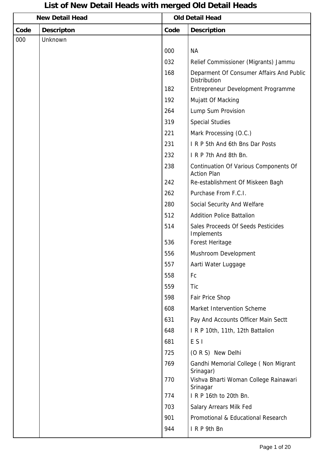## **Code Descripton Code Description New Detail Head Construction Construction Construction Property** Old Detail Head 000 Unknown 000 NA 032 Relief Commissioner (Migrants) Jammu 168 | Deparment Of Consumer Affairs And Public **Distribution** 182 Entrepreneur Development Programme 192 | Mujatt Of Macking 264 Lump Sum Provision 319 Special Studies 221 Mark Processing (O.C.) 231 **I R P 5th And 6th Bns Dar Posts** 232 **I** I R P 7th And 8th Bn 238 Continuation Of Various Components Of Action Plan 242 Re-establishment Of Miskeen Bagh 262 | Purchase From F.C.I. 280 Social Security And Welfare 512 Addition Police Battalion 514 Sales Proceeds Of Seeds Pesticides Implements 536 Forest Heritage 556 Mushroom Development 557 Aarti Water Luggage 558 Fc 559 Tic 598 Fair Price Shop 608 Market Intervention Scheme 631 Pay And Accounts Officer Main Sectt 648 I R P 10th, 11th, 12th Battalion 681 E S I 725 (O R S) New Delhi 769 Gandhi Memorial College ( Non Migrant Srinagar) 770 Vishva Bharti Woman College Rainawari Srinagar 774 I R P 16th to 20th Bn. 703 Salary Arrears Milk Fed 901 Promotional & Educational Research 944 I R P 9th Bn

## **List of New Detail Heads with merged Old Detail Heads**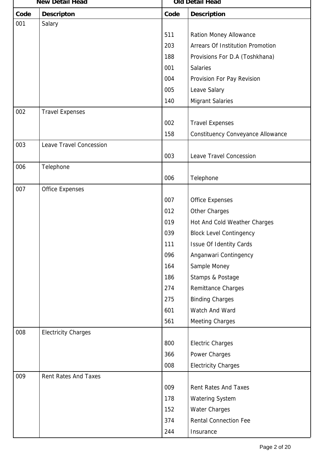|      | <b>New Detail Head</b>      |      | <b>Old Detail Head</b>            |  |  |
|------|-----------------------------|------|-----------------------------------|--|--|
| Code | <b>Descripton</b>           | Code | <b>Description</b>                |  |  |
| 001  | Salary                      |      |                                   |  |  |
|      |                             | 511  | Ration Money Allowance            |  |  |
|      |                             | 203  | Arrears Of Institution Promotion  |  |  |
|      |                             | 188  | Provisions For D.A (Toshkhana)    |  |  |
|      |                             | 001  | <b>Salaries</b>                   |  |  |
|      |                             | 004  | Provision For Pay Revision        |  |  |
|      |                             | 005  | Leave Salary                      |  |  |
|      |                             | 140  | <b>Migrant Salaries</b>           |  |  |
| 002  | <b>Travel Expenses</b>      |      |                                   |  |  |
|      |                             | 002  | <b>Travel Expenses</b>            |  |  |
|      |                             | 158  | Constituency Conveyance Allowance |  |  |
| 003  | Leave Travel Concession     |      |                                   |  |  |
|      |                             | 003  | Leave Travel Concession           |  |  |
| 006  | Telephone                   |      |                                   |  |  |
|      |                             | 006  | Telephone                         |  |  |
| 007  | <b>Office Expenses</b>      |      |                                   |  |  |
|      |                             | 007  | <b>Office Expenses</b>            |  |  |
|      |                             | 012  | Other Charges                     |  |  |
|      |                             | 019  | Hot And Cold Weather Charges      |  |  |
|      |                             | 039  | <b>Block Level Contingency</b>    |  |  |
|      |                             | 111  | <b>Issue Of Identity Cards</b>    |  |  |
|      |                             | 096  | Anganwari Contingency             |  |  |
|      |                             | 164  | Sample Money                      |  |  |
|      |                             | 186  | Stamps & Postage                  |  |  |
|      |                             | 274  | Remittance Charges                |  |  |
|      |                             | 275  | <b>Binding Charges</b>            |  |  |
|      |                             | 601  | Watch And Ward                    |  |  |
|      |                             | 561  | <b>Meeting Charges</b>            |  |  |
| 008  | <b>Electricity Charges</b>  |      |                                   |  |  |
|      |                             | 800  | <b>Electric Charges</b>           |  |  |
|      |                             | 366  | Power Charges                     |  |  |
|      |                             | 008  | <b>Electricity Charges</b>        |  |  |
| 009  | <b>Rent Rates And Taxes</b> |      |                                   |  |  |
|      |                             | 009  | <b>Rent Rates And Taxes</b>       |  |  |
|      |                             | 178  | <b>Watering System</b>            |  |  |
|      |                             | 152  | <b>Water Charges</b>              |  |  |
|      |                             | 374  | <b>Rental Connection Fee</b>      |  |  |
|      |                             | 244  | Insurance                         |  |  |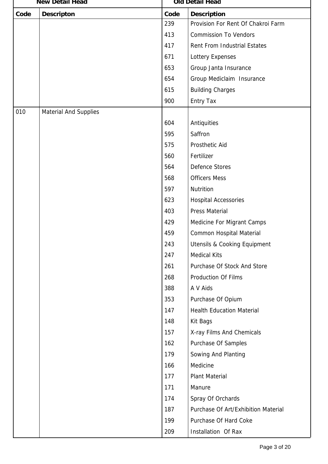| <b>New Detail Head</b> |                              | Old Detail Head |                                         |  |
|------------------------|------------------------------|-----------------|-----------------------------------------|--|
| Code                   | <b>Descripton</b>            | Code            | <b>Description</b>                      |  |
|                        |                              | 239             | Provision For Rent Of Chakroi Farm      |  |
|                        |                              | 413             | <b>Commission To Vendors</b>            |  |
|                        |                              | 417             | Rent From Industrial Estates            |  |
|                        |                              | 671             | Lottery Expenses                        |  |
|                        |                              | 653             | Group Janta Insurance                   |  |
|                        |                              | 654             | Group Mediclaim Insurance               |  |
|                        |                              | 615             | <b>Building Charges</b>                 |  |
|                        |                              | 900             | <b>Entry Tax</b>                        |  |
| 010                    | <b>Material And Supplies</b> |                 |                                         |  |
|                        |                              | 604             | Antiquities                             |  |
|                        |                              | 595             | Saffron                                 |  |
|                        |                              | 575             | Prosthetic Aid                          |  |
|                        |                              | 560             | Fertilizer                              |  |
|                        |                              | 564             | Defence Stores                          |  |
|                        |                              | 568             | <b>Officers Mess</b>                    |  |
|                        |                              | 597             | Nutrition                               |  |
|                        |                              | 623             | <b>Hospital Accessories</b>             |  |
|                        |                              | 403             | <b>Press Material</b>                   |  |
|                        |                              | 429             | Medicine For Migrant Camps              |  |
|                        |                              | 459             | Common Hospital Material                |  |
|                        |                              | 243             | <b>Utensils &amp; Cooking Equipment</b> |  |
|                        |                              | 247             | <b>Medical Kits</b>                     |  |
|                        |                              | 261             | Purchase Of Stock And Store             |  |
|                        |                              | 268             | Production Of Films                     |  |
|                        |                              | 388             | A V Aids                                |  |
|                        |                              | 353             | Purchase Of Opium                       |  |
|                        |                              | 147             | <b>Health Education Material</b>        |  |
|                        |                              | 148             | Kit Bags                                |  |
|                        |                              | 157             | X-ray Films And Chemicals               |  |
|                        |                              | 162             | Purchase Of Samples                     |  |
|                        |                              | 179             | Sowing And Planting                     |  |
|                        |                              | 166             | Medicine                                |  |
|                        |                              | 177             | <b>Plant Material</b>                   |  |
|                        |                              | 171             | Manure                                  |  |
|                        |                              | 174             | Spray Of Orchards                       |  |
|                        |                              | 187             | Purchase Of Art/Exhibition Material     |  |
|                        |                              | 199             | Purchase Of Hard Coke                   |  |
|                        |                              | 209             | Installation Of Rax                     |  |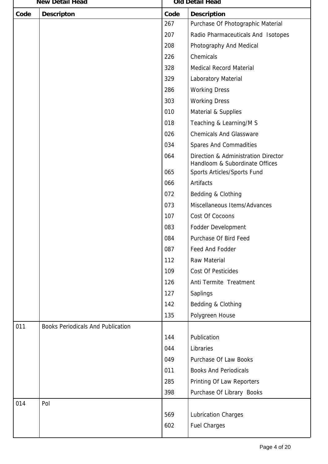|      | <b>New Detail Head</b>                   |      | Old Detail Head                                                       |
|------|------------------------------------------|------|-----------------------------------------------------------------------|
| Code | <b>Descripton</b>                        | Code | <b>Description</b>                                                    |
|      |                                          | 267  | Purchase Of Photographic Material                                     |
|      |                                          | 207  | Radio Pharmaceuticals And Isotopes                                    |
|      |                                          | 208  | Photography And Medical                                               |
|      |                                          | 226  | Chemicals                                                             |
|      |                                          | 328  | Medical Record Material                                               |
|      |                                          | 329  | Laboratory Material                                                   |
|      |                                          | 286  | <b>Working Dress</b>                                                  |
|      |                                          | 303  | <b>Working Dress</b>                                                  |
|      |                                          | 010  | Material & Supplies                                                   |
|      |                                          | 018  | Teaching & Learning/M S                                               |
|      |                                          | 026  | <b>Chemicals And Glassware</b>                                        |
|      |                                          | 034  | Spares And Commadities                                                |
|      |                                          | 064  | Direction & Administration Director<br>Handloom & Subordinate Offices |
|      |                                          | 065  | Sports Articles/Sports Fund                                           |
|      |                                          | 066  | Artifacts                                                             |
|      |                                          | 072  | Bedding & Clothing                                                    |
|      |                                          | 073  | Miscellaneous Items/Advances                                          |
|      |                                          | 107  | Cost Of Cocoons                                                       |
|      |                                          | 083  | Fodder Development                                                    |
|      |                                          | 084  | Purchase Of Bird Feed                                                 |
|      |                                          | 087  | Feed And Fodder                                                       |
|      |                                          | 112  | <b>Raw Material</b>                                                   |
|      |                                          | 109  | Cost Of Pesticides                                                    |
|      |                                          | 126  | Anti Termite Treatment                                                |
|      |                                          | 127  | Saplings                                                              |
|      |                                          | 142  | Bedding & Clothing                                                    |
|      |                                          | 135  | Polygreen House                                                       |
| 011  | <b>Books Periodicals And Publication</b> |      |                                                                       |
|      |                                          | 144  | Publication                                                           |
|      |                                          | 044  | Libraries                                                             |
|      |                                          | 049  | Purchase Of Law Books                                                 |
|      |                                          | 011  | <b>Books And Periodicals</b>                                          |
|      |                                          | 285  | Printing Of Law Reporters                                             |
|      |                                          | 398  | Purchase Of Library Books                                             |
| 014  | Pol                                      |      |                                                                       |
|      |                                          | 569  | <b>Lubrication Charges</b>                                            |
|      |                                          | 602  | <b>Fuel Charges</b>                                                   |
|      |                                          |      |                                                                       |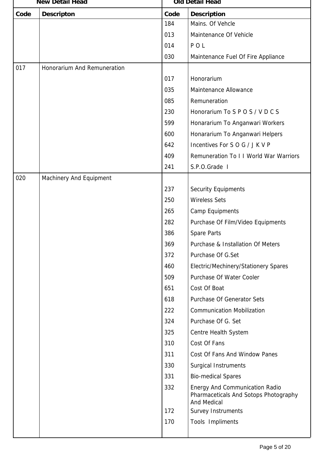| <b>New Detail Head</b> |                             | <b>Old Detail Head</b> |                                                                                                      |
|------------------------|-----------------------------|------------------------|------------------------------------------------------------------------------------------------------|
| Code                   | <b>Descripton</b>           | Code                   | <b>Description</b>                                                                                   |
|                        |                             | 184                    | Mains. Of Vehcle                                                                                     |
|                        |                             | 013                    | Maintenance Of Vehicle                                                                               |
|                        |                             | 014                    | POL                                                                                                  |
|                        |                             | 030                    | Maintenance Fuel Of Fire Appliance                                                                   |
| 017                    | Honorarium And Remuneration |                        |                                                                                                      |
|                        |                             | 017                    | Honorarium                                                                                           |
|                        |                             | 035                    | Maintenance Allowance                                                                                |
|                        |                             | 085                    | Remuneration                                                                                         |
|                        |                             | 230                    | Honorarium To S P O S / V D C S                                                                      |
|                        |                             | 599                    | Honararium To Anganwari Workers                                                                      |
|                        |                             | 600                    | Honararium To Anganwari Helpers                                                                      |
|                        |                             | 642                    | Incentives For SOG/JKVP                                                                              |
|                        |                             | 409                    | Remuneration To I I World War Warriors                                                               |
|                        |                             | 241                    | S.P.O.Grade I                                                                                        |
| 020                    | Machinery And Equipment     |                        |                                                                                                      |
|                        |                             | 237                    | <b>Security Equipments</b>                                                                           |
|                        |                             | 250                    | <b>Wireless Sets</b>                                                                                 |
|                        |                             | 265                    | Camp Equipments                                                                                      |
|                        |                             | 282                    | Purchase Of Film/Video Equipments                                                                    |
|                        |                             | 386                    | Spare Parts                                                                                          |
|                        |                             | 369                    | Purchase & Installation Of Meters                                                                    |
|                        |                             | 372                    | Purchase Of G.Set                                                                                    |
|                        |                             | 460                    | Electric/Mechinery/Stationery Spares                                                                 |
|                        |                             | 509                    | Purchase Of Water Cooler                                                                             |
|                        |                             | 651                    | Cost Of Boat                                                                                         |
|                        |                             | 618                    | Purchase Of Generator Sets                                                                           |
|                        |                             | 222                    | <b>Communication Mobilization</b>                                                                    |
|                        |                             | 324                    | Purchase Of G. Set                                                                                   |
|                        |                             | 325                    | Centre Health System                                                                                 |
|                        |                             | 310                    | Cost Of Fans                                                                                         |
|                        |                             | 311                    | Cost Of Fans And Window Panes                                                                        |
|                        |                             | 330                    | <b>Surgical Instruments</b>                                                                          |
|                        |                             | 331                    | <b>Bio-medical Spares</b>                                                                            |
|                        |                             | 332                    | <b>Energy And Communication Radio</b><br>Pharmaceticals And Sotops Photography<br><b>And Medical</b> |
|                        |                             | 172                    | Survey Instruments                                                                                   |
|                        |                             | 170                    | Tools Impliments                                                                                     |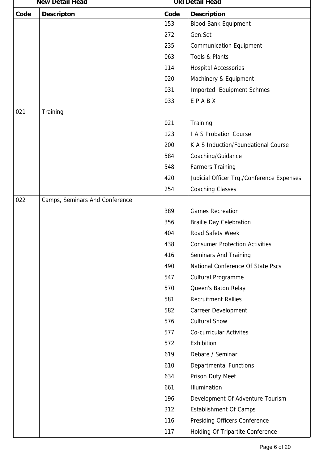|      | <b>New Detail Head</b>         |      | Old Detail Head                           |  |  |
|------|--------------------------------|------|-------------------------------------------|--|--|
| Code | <b>Descripton</b>              | Code | <b>Description</b>                        |  |  |
|      |                                | 153  | <b>Blood Bank Equipment</b>               |  |  |
|      |                                | 272  | Gen.Set                                   |  |  |
|      |                                | 235  | <b>Communication Equipment</b>            |  |  |
|      |                                | 063  | Tools & Plants                            |  |  |
|      |                                | 114  | <b>Hospital Accessories</b>               |  |  |
|      |                                | 020  | Machinery & Equipment                     |  |  |
|      |                                | 031  | Imported Equipment Schmes                 |  |  |
|      |                                | 033  | EPABX                                     |  |  |
| 021  | Training                       |      |                                           |  |  |
|      |                                | 021  | Training                                  |  |  |
|      |                                | 123  | I A S Probation Course                    |  |  |
|      |                                | 200  | K A S Induction/Foundational Course       |  |  |
|      |                                | 584  | Coaching/Guidance                         |  |  |
|      |                                | 548  | <b>Farmers Training</b>                   |  |  |
|      |                                | 420  | Judicial Officer Trg./Conference Expenses |  |  |
|      |                                | 254  | <b>Coaching Classes</b>                   |  |  |
| 022  | Camps, Seminars And Conference |      |                                           |  |  |
|      |                                | 389  | <b>Games Recreation</b>                   |  |  |
|      |                                | 356  | <b>Braille Day Celebration</b>            |  |  |
|      |                                | 404  | Road Safety Week                          |  |  |
|      |                                | 438  | <b>Consumer Protection Activities</b>     |  |  |
|      |                                | 416  | Seminars And Training                     |  |  |
|      |                                | 490  | National Conference Of State Pscs         |  |  |
|      |                                | 547  | Cultural Programme                        |  |  |
|      |                                | 570  | Queen's Baton Relay                       |  |  |
|      |                                | 581  | <b>Recruitment Rallies</b>                |  |  |
|      |                                | 582  | Carreer Development                       |  |  |
|      |                                | 576  | <b>Cultural Show</b>                      |  |  |
|      |                                | 577  | <b>Co-curricular Activites</b>            |  |  |
|      |                                | 572  | Exhibition                                |  |  |
|      |                                | 619  | Debate / Seminar                          |  |  |
|      |                                | 610  | <b>Departmental Functions</b>             |  |  |
|      |                                | 634  | Prison Duty Meet                          |  |  |
|      |                                | 661  | Illumination                              |  |  |
|      |                                | 196  | Development Of Adventure Tourism          |  |  |
|      |                                | 312  | <b>Establishment Of Camps</b>             |  |  |
|      |                                | 116  | Presiding Officers Conference             |  |  |
|      |                                | 117  | Holding Of Tripartite Conference          |  |  |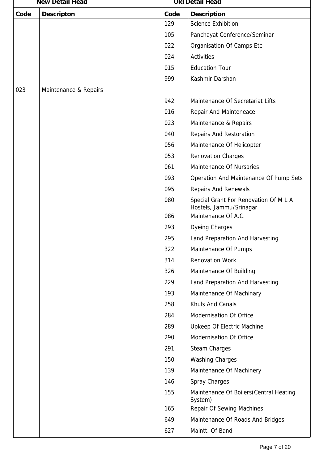|      | <b>New Detail Head</b> |      | Old Detail Head                                                  |  |  |
|------|------------------------|------|------------------------------------------------------------------|--|--|
| Code | <b>Descripton</b>      | Code | <b>Description</b>                                               |  |  |
|      |                        | 129  | <b>Science Exhibition</b>                                        |  |  |
|      |                        | 105  | Panchayat Conference/Seminar                                     |  |  |
|      |                        | 022  | Organisation Of Camps Etc                                        |  |  |
|      |                        | 024  | <b>Activities</b>                                                |  |  |
|      |                        | 015  | <b>Education Tour</b>                                            |  |  |
|      |                        | 999  | Kashmir Darshan                                                  |  |  |
| 023  | Maintenance & Repairs  |      |                                                                  |  |  |
|      |                        | 942  | Maintenance Of Secretariat Lifts                                 |  |  |
|      |                        | 016  | Repair And Mainteneace                                           |  |  |
|      |                        | 023  | Maintenance & Repairs                                            |  |  |
|      |                        | 040  | Repairs And Restoration                                          |  |  |
|      |                        | 056  | Maintenance Of Helicopter                                        |  |  |
|      |                        | 053  | <b>Renovation Charges</b>                                        |  |  |
|      |                        | 061  | Maintenance Of Nursaries                                         |  |  |
|      |                        | 093  | Operation And Maintenance Of Pump Sets                           |  |  |
|      |                        | 095  | <b>Repairs And Renewals</b>                                      |  |  |
|      |                        | 080  | Special Grant For Renovation Of M L A<br>Hostels, Jammu/Srinagar |  |  |
|      |                        | 086  | Maintenance Of A.C.                                              |  |  |
|      |                        | 293  | <b>Dyeing Charges</b>                                            |  |  |
|      |                        | 295  | Land Preparation And Harvesting                                  |  |  |
|      |                        | 322  | Maintenance Of Pumps                                             |  |  |
|      |                        | 314  | <b>Renovation Work</b>                                           |  |  |
|      |                        | 326  | Maintenance Of Building                                          |  |  |
|      |                        | 229  | Land Preparation And Harvesting                                  |  |  |
|      |                        | 193  | Maintenance Of Machinary                                         |  |  |
|      |                        | 258  | Khuls And Canals                                                 |  |  |
|      |                        | 284  | Modernisation Of Office                                          |  |  |
|      |                        | 289  | Upkeep Of Electric Machine                                       |  |  |
|      |                        | 290  | Modernisation Of Office                                          |  |  |
|      |                        | 291  | <b>Steam Charges</b>                                             |  |  |
|      |                        | 150  | <b>Washing Charges</b>                                           |  |  |
|      |                        | 139  | Maintenance Of Machinery                                         |  |  |
|      |                        | 146  | Spray Charges                                                    |  |  |
|      |                        | 155  | Maintenance Of Boilers (Central Heating<br>System)               |  |  |
|      |                        | 165  | <b>Repair Of Sewing Machines</b>                                 |  |  |
|      |                        | 649  | Maintenance Of Roads And Bridges                                 |  |  |
|      |                        | 627  | Maintt. Of Band                                                  |  |  |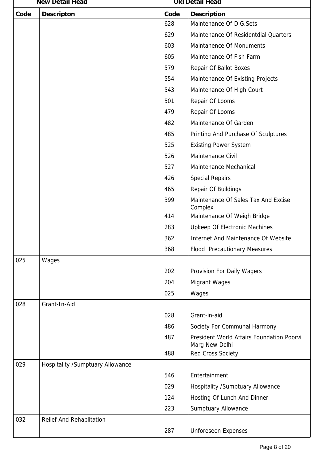| <b>New Detail Head</b> |                                  | Old Detail Head |                                                             |
|------------------------|----------------------------------|-----------------|-------------------------------------------------------------|
| Code                   | <b>Descripton</b>                | Code            | <b>Description</b>                                          |
|                        |                                  | 628             | Maintenance Of D.G.Sets                                     |
|                        |                                  | 629             | Maintenance Of Residentdial Quarters                        |
|                        |                                  | 603             | Maintanence Of Monuments                                    |
|                        |                                  | 605             | Maintenance Of Fish Farm                                    |
|                        |                                  | 579             | Repair Of Ballot Boxes                                      |
|                        |                                  | 554             | Maintenance Of Existing Projects                            |
|                        |                                  | 543             | Maintenance Of High Court                                   |
|                        |                                  | 501             | Repair Of Looms                                             |
|                        |                                  | 479             | Repair Of Looms                                             |
|                        |                                  | 482             | Maintenance Of Garden                                       |
|                        |                                  | 485             | Printing And Purchase Of Sculptures                         |
|                        |                                  | 525             | <b>Existing Power System</b>                                |
|                        |                                  | 526             | Maintenance Civil                                           |
|                        |                                  | 527             | Maintenance Mechanical                                      |
|                        |                                  | 426             | <b>Special Repairs</b>                                      |
|                        |                                  | 465             | Repair Of Buildings                                         |
|                        |                                  | 399             | Maintenance Of Sales Tax And Excise<br>Complex              |
|                        |                                  | 414             | Maintenance Of Weigh Bridge                                 |
|                        |                                  | 283             | Upkeep Of Electronic Machines                               |
|                        |                                  | 362             | Internet And Maintenance Of Website                         |
|                        |                                  | 368             | <b>Flood Precautionary Measures</b>                         |
| 025                    | Wages                            |                 |                                                             |
|                        |                                  | 202             | Provision For Daily Wagers                                  |
|                        |                                  | 204             | <b>Migrant Wages</b>                                        |
|                        |                                  | 025             | Wages                                                       |
| 028                    | Grant-In-Aid                     |                 |                                                             |
|                        |                                  | 028             | Grant-in-aid                                                |
|                        |                                  | 486             | Society For Communal Harmony                                |
|                        |                                  | 487             | President World Affairs Foundation Poorvi<br>Marg New Delhi |
|                        |                                  | 488             | <b>Red Cross Society</b>                                    |
| 029                    | Hospitality /Sumptuary Allowance |                 |                                                             |
|                        |                                  | 546             | Entertainment                                               |
|                        |                                  | 029             | <b>Hospitality /Sumptuary Allowance</b>                     |
|                        |                                  | 124             | Hosting Of Lunch And Dinner                                 |
|                        |                                  | 223             | <b>Sumptuary Allowance</b>                                  |
| 032                    | <b>Relief And Rehablitation</b>  |                 |                                                             |
|                        |                                  | 287             | <b>Unforeseen Expenses</b>                                  |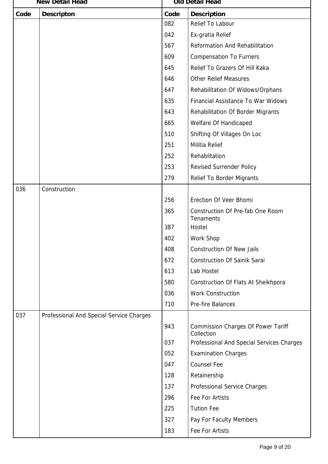|      | <b>New Detail Head</b>                   |      | Old Detail Head                                         |  |  |
|------|------------------------------------------|------|---------------------------------------------------------|--|--|
| Code | <b>Descripton</b>                        | Code | <b>Description</b>                                      |  |  |
|      |                                          | 082  | Relief To Labour                                        |  |  |
|      |                                          | 042  | Ex-gratia Relief                                        |  |  |
|      |                                          | 567  | Reformation And Rehabilitation                          |  |  |
|      |                                          | 609  | <b>Compensation To Furriers</b>                         |  |  |
|      |                                          | 645  | Relief To Grazers Of Hill Kaka                          |  |  |
|      |                                          | 646  | <b>Other Relief Measures</b>                            |  |  |
|      |                                          | 647  | Rehabilitation Of Widows/Orphans                        |  |  |
|      |                                          | 635  | Financial Assistance To War Widows                      |  |  |
|      |                                          | 643  | Rehabilitation Of Border Migrants                       |  |  |
|      |                                          | 665  | Welfare Of Handicaped                                   |  |  |
|      |                                          | 510  | Shifting Of Villages On Loc                             |  |  |
|      |                                          | 251  | Militia Relief                                          |  |  |
|      |                                          | 252  | Rehablitation                                           |  |  |
|      |                                          | 253  | <b>Revised Surrender Policy</b>                         |  |  |
|      |                                          | 279  | <b>Relief To Border Migrants</b>                        |  |  |
| 036  | Construction                             |      |                                                         |  |  |
|      |                                          | 256  | Erection Of Veer Bhomi                                  |  |  |
|      |                                          | 365  | Construction Of Pre-fab One Room<br><b>Tenaments</b>    |  |  |
|      |                                          | 387  | Hostel                                                  |  |  |
|      |                                          | 402  | Work Shop                                               |  |  |
|      |                                          | 408  | <b>Construction Of New Jails</b>                        |  |  |
|      |                                          | 672  | <b>Construction Of Sainik Sarai</b>                     |  |  |
|      |                                          | 613  | Lab Hostel                                              |  |  |
|      |                                          | 580  | Construction Of Flats At Sheikhpora                     |  |  |
|      |                                          | 036  | <b>Work Construction</b>                                |  |  |
|      |                                          | 710  | Pre-fire Balances                                       |  |  |
| 037  | Professional And Special Service Charges |      |                                                         |  |  |
|      |                                          | 943  | <b>Commission Charges Of Power Tariff</b><br>Collection |  |  |
|      |                                          | 037  | Professional And Special Services Charges               |  |  |
|      |                                          | 052  | <b>Examination Charges</b>                              |  |  |
|      |                                          | 047  | <b>Counsel Fee</b>                                      |  |  |
|      |                                          | 128  | Retainership                                            |  |  |
|      |                                          | 137  | Professional Service Charges                            |  |  |
|      |                                          | 296  | <b>Fee For Artists</b>                                  |  |  |
|      |                                          | 225  | <b>Tution Fee</b>                                       |  |  |
|      |                                          | 327  | Pay For Faculty Members                                 |  |  |
|      |                                          | 183  | Fee For Artists                                         |  |  |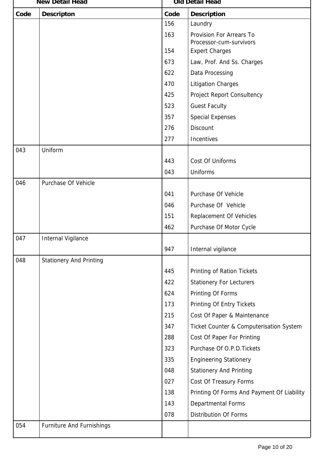|      | <b>New Detail Head</b>           |      | Old Detail Head                                     |  |
|------|----------------------------------|------|-----------------------------------------------------|--|
| Code | <b>Descripton</b>                | Code | <b>Description</b>                                  |  |
|      |                                  | 156  | Laundry                                             |  |
|      |                                  | 163  | Provision For Arrears To<br>Processor-cum-survivors |  |
|      |                                  | 154  | <b>Expert Charges</b>                               |  |
|      |                                  | 673  | Law, Prof. And Ss. Charges                          |  |
|      |                                  | 622  | Data Processing                                     |  |
|      |                                  | 470  | <b>Litigation Charges</b>                           |  |
|      |                                  | 425  | Project Report Consultency                          |  |
|      |                                  | 523  | <b>Guest Faculty</b>                                |  |
|      |                                  | 357  | <b>Special Expenses</b>                             |  |
|      |                                  | 276  | Discount                                            |  |
|      |                                  | 277  | Incentives                                          |  |
| 043  | Uniform                          |      |                                                     |  |
|      |                                  | 443  | Cost Of Uniforms                                    |  |
|      |                                  | 043  | <b>Uniforms</b>                                     |  |
| 046  | Purchase Of Vehicle              |      |                                                     |  |
|      |                                  | 041  | Purchase Of Vehicle                                 |  |
|      |                                  | 046  | Purchase Of Vehicle                                 |  |
|      |                                  | 151  | <b>Replacement Of Vehicles</b>                      |  |
|      |                                  | 462  | Purchase Of Motor Cycle                             |  |
| 047  | <b>Internal Vigilance</b>        |      |                                                     |  |
|      |                                  | 947  | Internal vigilance                                  |  |
| 048  | <b>Stationery And Printing</b>   |      |                                                     |  |
|      |                                  | 445  | Printing of Ration Tickets                          |  |
|      |                                  | 422  | <b>Stationery For Lecturers</b>                     |  |
|      |                                  | 624  | Printing Of Forms                                   |  |
|      |                                  | 173  | Printing Of Entry Tickets                           |  |
|      |                                  | 215  | Cost Of Paper & Maintenance                         |  |
|      |                                  | 347  | Ticket Counter & Computerisation System             |  |
|      |                                  | 288  | Cost Of Paper For Printing                          |  |
|      |                                  | 323  | Purchase Of O.P.D. Tickets                          |  |
|      |                                  | 335  | <b>Engineering Stationery</b>                       |  |
|      |                                  | 048  | <b>Stationery And Printing</b>                      |  |
|      |                                  | 027  | Cost Of Treasury Forms                              |  |
|      |                                  | 138  | Printing Of Forms And Payment Of Liability          |  |
|      |                                  | 143  | Departmental Forms                                  |  |
|      |                                  | 078  | <b>Distribution Of Forms</b>                        |  |
| 054  | <b>Furniture And Furnishings</b> |      |                                                     |  |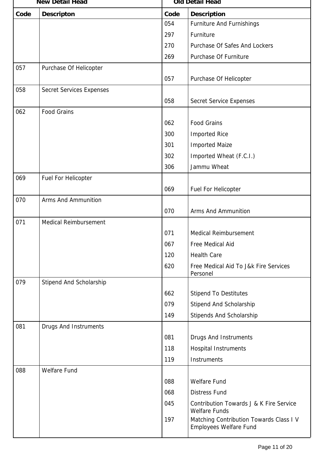|      | <b>New Detail Head</b>          |      | <b>Old Detail Head</b>                                                   |  |
|------|---------------------------------|------|--------------------------------------------------------------------------|--|
| Code | <b>Descripton</b>               | Code | <b>Description</b>                                                       |  |
|      |                                 | 054  | <b>Furniture And Furnishings</b>                                         |  |
|      |                                 | 297  | Furniture                                                                |  |
|      |                                 | 270  | Purchase Of Safes And Lockers                                            |  |
|      |                                 | 269  | Purchase Of Furniture                                                    |  |
| 057  | Purchase Of Helicopter          |      |                                                                          |  |
|      |                                 | 057  | Purchase Of Helicopter                                                   |  |
| 058  | <b>Secret Services Expenses</b> |      |                                                                          |  |
|      |                                 | 058  | Secret Service Expenses                                                  |  |
| 062  | <b>Food Grains</b>              |      |                                                                          |  |
|      |                                 | 062  | <b>Food Grains</b>                                                       |  |
|      |                                 | 300  | <b>Imported Rice</b>                                                     |  |
|      |                                 | 301  | <b>Imported Maize</b>                                                    |  |
|      |                                 | 302  | Imported Wheat (F.C.I.)                                                  |  |
|      |                                 | 306  | Jammu Wheat                                                              |  |
| 069  | Fuel For Helicopter             |      |                                                                          |  |
|      |                                 | 069  | Fuel For Helicopter                                                      |  |
| 070  | <b>Arms And Ammunition</b>      |      |                                                                          |  |
|      |                                 | 070  | <b>Arms And Ammunition</b>                                               |  |
| 071  | Medical Reimbursement           |      |                                                                          |  |
|      |                                 | 071  | Medical Reimbursement                                                    |  |
|      |                                 | 067  | Free Medical Aid                                                         |  |
|      |                                 | 120  | <b>Health Care</b>                                                       |  |
|      |                                 | 620  | Free Medical Aid To J&k Fire Services                                    |  |
| 079  | Stipend And Scholarship         |      | Personel                                                                 |  |
|      |                                 | 662  | <b>Stipend To Destitutes</b>                                             |  |
|      |                                 | 079  | Stipend And Scholarship                                                  |  |
|      |                                 | 149  | Stipends And Scholarship                                                 |  |
| 081  | Drugs And Instruments           |      |                                                                          |  |
|      |                                 | 081  | Drugs And Instruments                                                    |  |
|      |                                 | 118  | <b>Hospital Instruments</b>                                              |  |
|      |                                 | 119  | Instruments                                                              |  |
| 088  | <b>Welfare Fund</b>             |      |                                                                          |  |
|      |                                 | 088  | <b>Welfare Fund</b>                                                      |  |
|      |                                 | 068  | <b>Distress Fund</b>                                                     |  |
|      |                                 | 045  | Contribution Towards J & K Fire Service                                  |  |
|      |                                 |      | <b>Welfare Funds</b>                                                     |  |
|      |                                 | 197  | Matching Contribution Towards Class I V<br><b>Employees Welfare Fund</b> |  |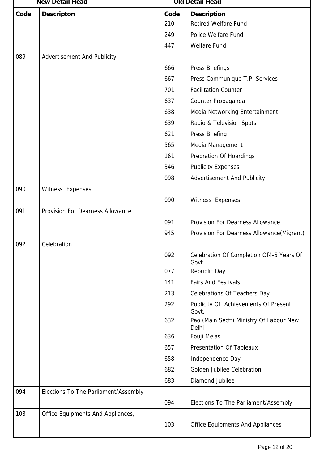|      | <b>New Detail Head</b>                  |      | Old Detail Head                                   |  |
|------|-----------------------------------------|------|---------------------------------------------------|--|
| Code | <b>Descripton</b>                       | Code | <b>Description</b>                                |  |
|      |                                         | 210  | <b>Retired Welfare Fund</b>                       |  |
|      |                                         | 249  | Police Welfare Fund                               |  |
|      |                                         | 447  | <b>Welfare Fund</b>                               |  |
| 089  | <b>Advertisement And Publicity</b>      |      |                                                   |  |
|      |                                         | 666  | Press Briefings                                   |  |
|      |                                         | 667  | Press Communique T.P. Services                    |  |
|      |                                         | 701  | <b>Facilitation Counter</b>                       |  |
|      |                                         | 637  | Counter Propaganda                                |  |
|      |                                         | 638  | Media Networking Entertainment                    |  |
|      |                                         | 639  | Radio & Television Spots                          |  |
|      |                                         | 621  | Press Briefing                                    |  |
|      |                                         | 565  | Media Management                                  |  |
|      |                                         | 161  | <b>Prepration Of Hoardings</b>                    |  |
|      |                                         | 346  | <b>Publicity Expenses</b>                         |  |
|      |                                         | 098  | <b>Advertisement And Publicity</b>                |  |
| 090  | Witness Expenses                        |      |                                                   |  |
|      |                                         | 090  | Witness Expenses                                  |  |
| 091  | <b>Provision For Dearness Allowance</b> |      |                                                   |  |
|      |                                         | 091  | Provision For Dearness Allowance                  |  |
|      |                                         | 945  | Provision For Dearness Allowance (Migrant)        |  |
| 092  | Celebration                             |      |                                                   |  |
|      |                                         | 092  | Celebration Of Completion Of4-5 Years Of<br>Govt. |  |
|      |                                         | 077  | Republic Day                                      |  |
|      |                                         | 141  | <b>Fairs And Festivals</b>                        |  |
|      |                                         | 213  | <b>Celebrations Of Teachers Day</b>               |  |
|      |                                         | 292  | Publicity Of Achievements Of Present<br>Govt.     |  |
|      |                                         | 632  | Pao (Main Sectt) Ministry Of Labour New<br>Delhi  |  |
|      |                                         | 636  | Fouji Melas                                       |  |
|      |                                         | 657  | <b>Presentation Of Tableaux</b>                   |  |
|      |                                         | 658  | Independence Day                                  |  |
|      |                                         | 682  | Golden Jubilee Celebration                        |  |
|      |                                         | 683  | Diamond Jubilee                                   |  |
| 094  | Elections To The Parliament/Assembly    | 094  | Elections To The Parliament/Assembly              |  |
| 103  | Office Equipments And Appliances,       |      |                                                   |  |
|      |                                         | 103  | <b>Office Equipments And Appliances</b>           |  |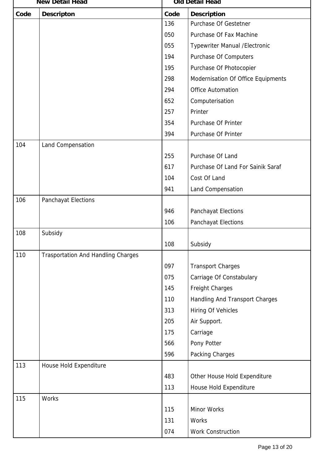|      | <b>New Detail Head</b>                    |      | Old Detail Head                    |  |
|------|-------------------------------------------|------|------------------------------------|--|
| Code | <b>Descripton</b>                         | Code | <b>Description</b>                 |  |
|      |                                           | 136  | Purchase Of Gestetner              |  |
|      |                                           | 050  | Purchase Of Fax Machine            |  |
|      |                                           | 055  | Typewriter Manual / Electronic     |  |
|      |                                           | 194  | Purchase Of Computers              |  |
|      |                                           | 195  | Purchase Of Photocopier            |  |
|      |                                           | 298  | Modernisation Of Office Equipments |  |
|      |                                           | 294  | <b>Office Automation</b>           |  |
|      |                                           | 652  | Computerisation                    |  |
|      |                                           | 257  | Printer                            |  |
|      |                                           | 354  | Purchase Of Printer                |  |
|      |                                           | 394  | Purchase Of Printer                |  |
| 104  | Land Compensation                         |      |                                    |  |
|      |                                           | 255  | Purchase Of Land                   |  |
|      |                                           | 617  | Purchase Of Land For Sainik Saraf  |  |
|      |                                           | 104  | Cost Of Land                       |  |
|      |                                           | 941  | Land Compensation                  |  |
| 106  | Panchayat Elections                       |      |                                    |  |
|      |                                           | 946  | Panchayat Elections                |  |
|      |                                           | 106  | Panchayat Elections                |  |
| 108  | Subsidy                                   |      |                                    |  |
|      |                                           | 108  | Subsidy                            |  |
| 110  | <b>Trasportation And Handling Charges</b> |      |                                    |  |
|      |                                           | 097  | <b>Transport Charges</b>           |  |
|      |                                           | 075  | Carriage Of Constabulary           |  |
|      |                                           | 145  | Freight Charges                    |  |
|      |                                           | 110  | Handling And Transport Charges     |  |
|      |                                           | 313  | Hiring Of Vehicles                 |  |
|      |                                           | 205  | Air Support.                       |  |
|      |                                           | 175  | Carriage                           |  |
|      |                                           | 566  | Pony Potter                        |  |
|      |                                           | 596  | Packing Charges                    |  |
| 113  | House Hold Expenditure                    |      |                                    |  |
|      |                                           | 483  | Other House Hold Expenditure       |  |
|      |                                           | 113  | House Hold Expenditure             |  |
| 115  | <b>Works</b>                              |      |                                    |  |
|      |                                           | 115  | Minor Works                        |  |
|      |                                           | 131  | <b>Works</b>                       |  |
|      |                                           | 074  | <b>Work Construction</b>           |  |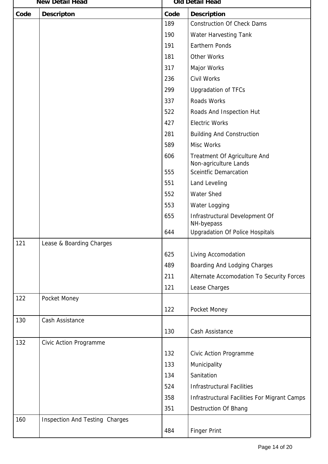|      | <b>New Detail Head</b>         |      | Old Detail Head                                       |  |  |
|------|--------------------------------|------|-------------------------------------------------------|--|--|
| Code | <b>Descripton</b>              | Code | <b>Description</b>                                    |  |  |
|      |                                | 189  | <b>Construction Of Check Dams</b>                     |  |  |
|      |                                | 190  | Water Harvesting Tank                                 |  |  |
|      |                                | 191  | <b>Earthern Ponds</b>                                 |  |  |
|      |                                | 181  | <b>Other Works</b>                                    |  |  |
|      |                                | 317  | Major Works                                           |  |  |
|      |                                | 236  | Civil Works                                           |  |  |
|      |                                | 299  | <b>Upgradation of TFCs</b>                            |  |  |
|      |                                | 337  | Roads Works                                           |  |  |
|      |                                | 522  | Roads And Inspection Hut                              |  |  |
|      |                                | 427  | <b>Electric Works</b>                                 |  |  |
|      |                                | 281  | <b>Building And Construction</b>                      |  |  |
|      |                                | 589  | Misc Works                                            |  |  |
|      |                                | 606  | Treatment Of Agriculture And<br>Non-agriculture Lands |  |  |
|      |                                | 555  | <b>Sceintfic Demarcation</b>                          |  |  |
|      |                                | 551  | Land Leveling                                         |  |  |
|      |                                | 552  | <b>Water Shed</b>                                     |  |  |
|      |                                | 553  | Water Logging                                         |  |  |
|      |                                | 655  | Infrastructural Development Of<br>NH-byepass          |  |  |
|      |                                | 644  | <b>Upgradation Of Police Hospitals</b>                |  |  |
| 121  | Lease & Boarding Charges       |      |                                                       |  |  |
|      |                                | 625  | Living Accomodation                                   |  |  |
|      |                                | 489  | Boarding And Lodging Charges                          |  |  |
|      |                                | 211  | Alternate Accomodation To Security Forces             |  |  |
|      |                                | 121  | Lease Charges                                         |  |  |
| 122  | Pocket Money                   |      |                                                       |  |  |
|      |                                | 122  | Pocket Money                                          |  |  |
| 130  | Cash Assistance                |      |                                                       |  |  |
|      |                                | 130  | Cash Assistance                                       |  |  |
| 132  | Civic Action Programme         |      |                                                       |  |  |
|      |                                | 132  | Civic Action Programme                                |  |  |
|      |                                | 133  | Municipality                                          |  |  |
|      |                                | 134  | Sanitation                                            |  |  |
|      |                                | 524  | <b>Infrastructural Facilities</b>                     |  |  |
|      |                                | 358  | Infrastructural Facilities For Migrant Camps          |  |  |
|      |                                | 351  | <b>Destruction Of Bhang</b>                           |  |  |
| 160  | Inspection And Testing Charges |      |                                                       |  |  |
|      |                                | 484  | <b>Finger Print</b>                                   |  |  |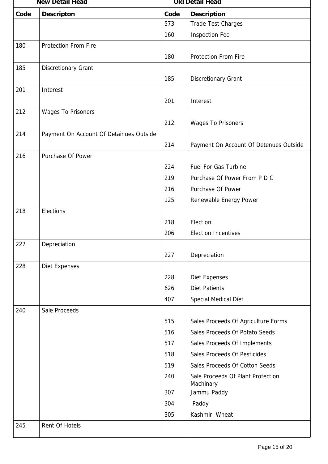|      | <b>New Detail Head</b>                  |      | <b>Old Detail Head</b>                 |  |  |
|------|-----------------------------------------|------|----------------------------------------|--|--|
| Code | <b>Descripton</b>                       | Code | <b>Description</b>                     |  |  |
|      |                                         | 573  | <b>Trade Test Charges</b>              |  |  |
|      |                                         | 160  | <b>Inspection Fee</b>                  |  |  |
| 180  | <b>Protection From Fire</b>             |      |                                        |  |  |
|      |                                         | 180  | <b>Protection From Fire</b>            |  |  |
| 185  | <b>Discretionary Grant</b>              |      |                                        |  |  |
|      |                                         | 185  | <b>Discretionary Grant</b>             |  |  |
| 201  | Interest                                |      |                                        |  |  |
|      |                                         | 201  | Interest                               |  |  |
| 212  | <b>Wages To Prisoners</b>               |      |                                        |  |  |
|      |                                         | 212  | <b>Wages To Prisoners</b>              |  |  |
| 214  | Payment On Account Of Detainues Outside |      |                                        |  |  |
|      |                                         | 214  | Payment On Account Of Detenues Outside |  |  |
| 216  | Purchase Of Power                       |      |                                        |  |  |
|      |                                         | 224  | <b>Fuel For Gas Turbine</b>            |  |  |
|      |                                         | 219  | Purchase Of Power From P D C           |  |  |
|      |                                         | 216  | Purchase Of Power                      |  |  |
|      |                                         | 125  | Renewable Energy Power                 |  |  |
| 218  | Elections                               |      |                                        |  |  |
|      |                                         | 218  | Election                               |  |  |
|      |                                         | 206  | <b>Election Incentives</b>             |  |  |
| 227  | Depreciation                            |      |                                        |  |  |
|      |                                         | 227  | Depreciation                           |  |  |
| 228  | <b>Diet Expenses</b>                    |      |                                        |  |  |
|      |                                         | 228  | <b>Diet Expenses</b>                   |  |  |
|      |                                         | 626  | <b>Diet Patients</b>                   |  |  |
|      |                                         | 407  | Special Medical Diet                   |  |  |
| 240  | Sale Proceeds                           |      |                                        |  |  |
|      |                                         | 515  | Sales Proceeds Of Agriculture Forms    |  |  |
|      |                                         | 516  | Sales Proceeds Of Potato Seeds         |  |  |
|      |                                         | 517  | Sales Proceeds Of Implements           |  |  |
|      |                                         | 518  | Sales Proceeds Of Pesticides           |  |  |
|      |                                         | 519  | Sales Proceeds Of Cotton Seeds         |  |  |
|      |                                         | 240  | Sale Proceeds Of Plant Protection      |  |  |
|      |                                         |      | Machinary                              |  |  |
|      |                                         | 307  | Jammu Paddy                            |  |  |
|      |                                         | 304  | Paddy                                  |  |  |
|      |                                         | 305  | Kashmir Wheat                          |  |  |
| 245  | Rent Of Hotels                          |      |                                        |  |  |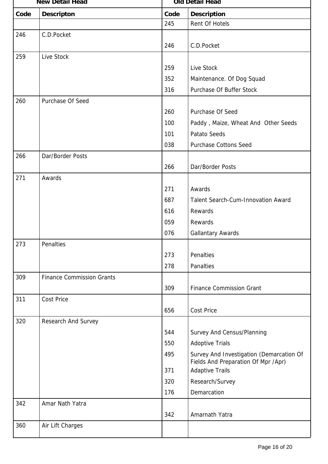|      | <b>New Detail Head</b>           |      | <b>Old Detail Head</b>                                                          |  |  |
|------|----------------------------------|------|---------------------------------------------------------------------------------|--|--|
| Code | <b>Descripton</b>                | Code | <b>Description</b>                                                              |  |  |
|      |                                  | 245  | Rent Of Hotels                                                                  |  |  |
| 246  | C.D.Pocket                       |      |                                                                                 |  |  |
|      |                                  | 246  | C.D.Pocket                                                                      |  |  |
| 259  | Live Stock                       |      |                                                                                 |  |  |
|      |                                  | 259  | Live Stock                                                                      |  |  |
|      |                                  | 352  | Maintenance. Of Dog Squad                                                       |  |  |
|      |                                  | 316  | Purchase Of Buffer Stock                                                        |  |  |
| 260  | Purchase Of Seed                 |      |                                                                                 |  |  |
|      |                                  | 260  | Purchase Of Seed                                                                |  |  |
|      |                                  | 100  | Paddy, Maize, Wheat And Other Seeds                                             |  |  |
|      |                                  | 101  | <b>Patato Seeds</b>                                                             |  |  |
|      |                                  | 038  | <b>Purchase Cottons Seed</b>                                                    |  |  |
| 266  | Dar/Border Posts                 |      |                                                                                 |  |  |
|      |                                  | 266  | Dar/Border Posts                                                                |  |  |
| 271  | Awards                           |      |                                                                                 |  |  |
|      |                                  | 271  | Awards                                                                          |  |  |
|      |                                  | 687  | <b>Talent Search-Cum-Innovation Award</b>                                       |  |  |
|      |                                  | 616  | Rewards                                                                         |  |  |
|      |                                  | 059  | Rewards                                                                         |  |  |
|      |                                  | 076  | <b>Gallantary Awards</b>                                                        |  |  |
| 273  | Penalties                        |      |                                                                                 |  |  |
|      |                                  | 273  | Penalties                                                                       |  |  |
|      |                                  | 278  | Panalties                                                                       |  |  |
| 309  | <b>Finance Commission Grants</b> |      |                                                                                 |  |  |
|      |                                  | 309  | <b>Finance Commission Grant</b>                                                 |  |  |
| 311  | <b>Cost Price</b>                |      |                                                                                 |  |  |
|      |                                  | 656  | <b>Cost Price</b>                                                               |  |  |
| 320  | Research And Survey              |      |                                                                                 |  |  |
|      |                                  | 544  | Survey And Census/Planning                                                      |  |  |
|      |                                  | 550  | <b>Adoptive Trials</b>                                                          |  |  |
|      |                                  | 495  | Survey And Investigation (Demarcation Of<br>Fields And Preparation Of Mpr /Apr) |  |  |
|      |                                  | 371  | <b>Adaptive Trails</b>                                                          |  |  |
|      |                                  | 320  | Research/Survey                                                                 |  |  |
|      |                                  | 176  | Demarcation                                                                     |  |  |
| 342  | Amar Nath Yatra                  |      |                                                                                 |  |  |
|      |                                  | 342  | Amarnath Yatra                                                                  |  |  |
| 360  | Air Lift Charges                 |      |                                                                                 |  |  |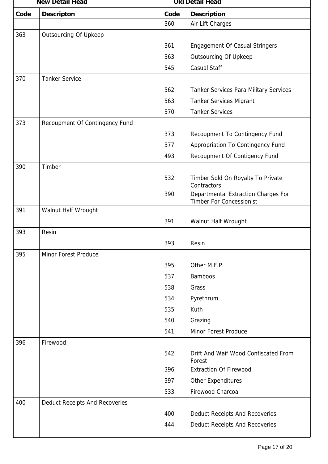|      | <b>New Detail Head</b>         |      | <b>Old Detail Head</b>                                                 |  |  |
|------|--------------------------------|------|------------------------------------------------------------------------|--|--|
| Code | <b>Descripton</b>              | Code | <b>Description</b>                                                     |  |  |
|      |                                | 360  | Air Lift Charges                                                       |  |  |
| 363  | <b>Outsourcing Of Upkeep</b>   |      |                                                                        |  |  |
|      |                                | 361  | <b>Engagement Of Casual Stringers</b>                                  |  |  |
|      |                                | 363  | <b>Outsourcing Of Upkeep</b>                                           |  |  |
|      |                                | 545  | <b>Casual Staff</b>                                                    |  |  |
| 370  | <b>Tanker Service</b>          |      |                                                                        |  |  |
|      |                                | 562  | <b>Tanker Services Para Military Services</b>                          |  |  |
|      |                                | 563  | <b>Tanker Services Migrant</b>                                         |  |  |
|      |                                | 370  | <b>Tanker Services</b>                                                 |  |  |
| 373  | Recoupment Of Contingency Fund |      |                                                                        |  |  |
|      |                                | 373  | Recoupment To Contingency Fund                                         |  |  |
|      |                                | 377  | Appropriation To Contingency Fund                                      |  |  |
|      |                                | 493  | Recoupment Of Contigency Fund                                          |  |  |
| 390  | Timber                         |      |                                                                        |  |  |
|      |                                | 532  | Timber Sold On Royalty To Private<br>Contractors                       |  |  |
|      |                                | 390  | Departmental Extraction Charges For<br><b>Timber For Concessionist</b> |  |  |
| 391  | Walnut Half Wrought            |      |                                                                        |  |  |
|      |                                | 391  | Walnut Half Wrought                                                    |  |  |
| 393  | Resin                          |      |                                                                        |  |  |
|      |                                | 393  | Resin                                                                  |  |  |
| 395  | <b>Minor Forest Produce</b>    |      |                                                                        |  |  |
|      |                                | 395  | Other M.F.P.                                                           |  |  |
|      |                                | 537  | <b>Bamboos</b>                                                         |  |  |
|      |                                | 538  | Grass                                                                  |  |  |
|      |                                | 534  | Pyrethrum                                                              |  |  |
|      |                                | 535  | Kuth                                                                   |  |  |
|      |                                | 540  | Grazing                                                                |  |  |
|      |                                | 541  | Minor Forest Produce                                                   |  |  |
| 396  | Firewood                       |      |                                                                        |  |  |
|      |                                | 542  | Drift And Waif Wood Confiscated From<br>Forest                         |  |  |
|      |                                | 396  | <b>Extraction Of Firewood</b>                                          |  |  |
|      |                                | 397  | Other Expenditures                                                     |  |  |
|      |                                | 533  | Firewood Charcoal                                                      |  |  |
| 400  | Deduct Receipts And Recoveries |      |                                                                        |  |  |
|      |                                | 400  | Deduct Receipts And Recoveries                                         |  |  |
|      |                                | 444  | <b>Deduct Receipts And Recoveries</b>                                  |  |  |
|      |                                |      |                                                                        |  |  |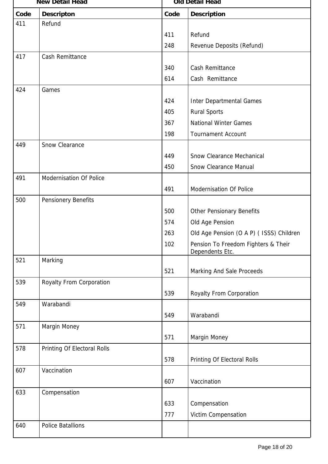|      | <b>New Detail Head</b>      |      | <b>Old Detail Head</b>                                 |  |  |
|------|-----------------------------|------|--------------------------------------------------------|--|--|
| Code | <b>Descripton</b>           | Code | <b>Description</b>                                     |  |  |
| 411  | Refund                      |      |                                                        |  |  |
|      |                             | 411  | Refund                                                 |  |  |
|      |                             | 248  | Revenue Deposits (Refund)                              |  |  |
| 417  | Cash Remittance             |      |                                                        |  |  |
|      |                             | 340  | Cash Remittance                                        |  |  |
|      |                             | 614  | Cash Remittance                                        |  |  |
| 424  | Games                       |      |                                                        |  |  |
|      |                             | 424  | <b>Inter Departmental Games</b>                        |  |  |
|      |                             | 405  | <b>Rural Sports</b>                                    |  |  |
|      |                             | 367  | <b>National Winter Games</b>                           |  |  |
|      |                             | 198  | <b>Tournament Account</b>                              |  |  |
| 449  | Snow Clearance              |      |                                                        |  |  |
|      |                             | 449  | <b>Snow Clearance Mechanical</b>                       |  |  |
|      |                             | 450  | <b>Snow Clearance Manual</b>                           |  |  |
| 491  | Modernisation Of Police     |      |                                                        |  |  |
|      |                             | 491  | Modernisation Of Police                                |  |  |
| 500  | Pensionery Benefits         |      |                                                        |  |  |
|      |                             | 500  | <b>Other Pensionary Benefits</b>                       |  |  |
|      |                             | 574  | Old Age Pension                                        |  |  |
|      |                             | 263  | Old Age Pension (O A P) ( ISSS) Children               |  |  |
|      |                             | 102  | Pension To Freedom Fighters & Their<br>Dependents Etc. |  |  |
| 521  | Marking                     |      |                                                        |  |  |
|      |                             | 521  | Marking And Sale Proceeds                              |  |  |
| 539  | Royalty From Corporation    |      |                                                        |  |  |
|      |                             | 539  | Royalty From Corporation                               |  |  |
| 549  | Warabandi                   |      |                                                        |  |  |
|      |                             | 549  | Warabandi                                              |  |  |
| 571  | Margin Money                |      |                                                        |  |  |
|      |                             | 571  | Margin Money                                           |  |  |
| 578  | Printing Of Electoral Rolls |      |                                                        |  |  |
|      |                             | 578  | Printing Of Electoral Rolls                            |  |  |
| 607  | Vaccination                 |      |                                                        |  |  |
|      |                             | 607  | Vaccination                                            |  |  |
| 633  | Compensation                |      |                                                        |  |  |
|      |                             | 633  | Compensation                                           |  |  |
|      |                             | 777  | Victim Compensation                                    |  |  |
| 640  | <b>Police Batallions</b>    |      |                                                        |  |  |
|      |                             |      |                                                        |  |  |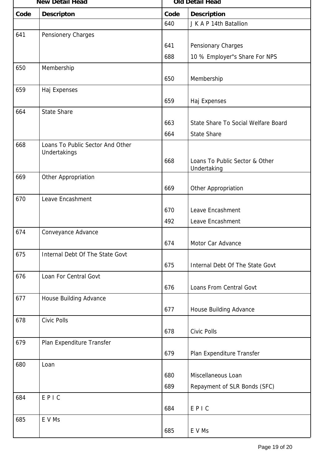|      | <b>New Detail Head</b>           |      | <b>Old Detail Head</b>              |  |  |
|------|----------------------------------|------|-------------------------------------|--|--|
| Code | <b>Descripton</b>                | Code | <b>Description</b>                  |  |  |
|      |                                  | 640  | J K A P 14th Batallion              |  |  |
| 641  | Pensionery Charges               |      |                                     |  |  |
|      |                                  | 641  | Pensionary Charges                  |  |  |
|      |                                  | 688  | 10 % Employer"s Share For NPS       |  |  |
| 650  | Membership                       |      |                                     |  |  |
|      |                                  | 650  | Membership                          |  |  |
| 659  | Haj Expenses                     |      |                                     |  |  |
|      |                                  | 659  | Haj Expenses                        |  |  |
| 664  | <b>State Share</b>               |      |                                     |  |  |
|      |                                  | 663  | State Share To Social Welfare Board |  |  |
|      |                                  | 664  | <b>State Share</b>                  |  |  |
| 668  | Loans To Public Sector And Other |      |                                     |  |  |
|      | Undertakings                     | 668  | Loans To Public Sector & Other      |  |  |
|      |                                  |      | Undertaking                         |  |  |
| 669  | Other Appropriation              |      |                                     |  |  |
|      |                                  | 669  | Other Appropriation                 |  |  |
| 670  | Leave Encashment                 |      |                                     |  |  |
|      |                                  | 670  | Leave Encashment                    |  |  |
|      |                                  | 492  | Leave Encashment                    |  |  |
| 674  | Conveyance Advance               |      |                                     |  |  |
|      |                                  | 674  | Motor Car Advance                   |  |  |
| 675  | Internal Debt Of The State Govt  |      |                                     |  |  |
|      |                                  | 675  | Internal Debt Of The State Govt     |  |  |
| 676  | Loan For Central Govt            |      |                                     |  |  |
|      |                                  | 676  | Loans From Central Govt             |  |  |
| 677  | House Building Advance           |      |                                     |  |  |
|      |                                  | 677  | House Building Advance              |  |  |
| 678  | Civic Polls                      |      |                                     |  |  |
|      |                                  | 678  | Civic Polls                         |  |  |
| 679  | Plan Expenditure Transfer        |      |                                     |  |  |
|      |                                  | 679  | Plan Expenditure Transfer           |  |  |
| 680  | Loan                             |      |                                     |  |  |
|      |                                  | 680  | Miscellaneous Loan                  |  |  |
|      |                                  | 689  | Repayment of SLR Bonds (SFC)        |  |  |
| 684  | EPIC                             |      |                                     |  |  |
|      |                                  | 684  | EPIC                                |  |  |
| 685  | E V Ms                           |      |                                     |  |  |
|      |                                  | 685  | E V Ms                              |  |  |